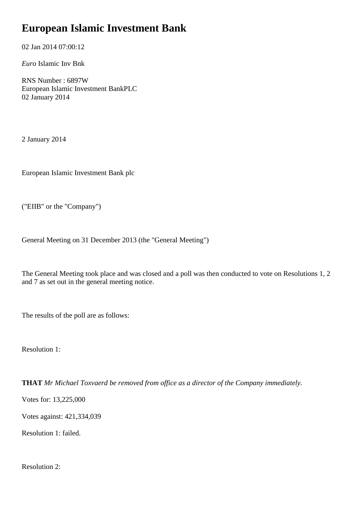## **European Islamic Investment Bank**

02 Jan 2014 07:00:12

*Euro* Islamic Inv Bnk

RNS Number : 6897W European Islamic Investment BankPLC 02 January 2014

2 January 2014

European Islamic Investment Bank plc

("EIIB" or the "Company")

General Meeting on 31 December 2013 (the "General Meeting")

The General Meeting took place and was closed and a poll was then conducted to vote on Resolutions 1, 2 and 7 as set out in the general meeting notice.

The results of the poll are as follows:

Resolution 1:

**THAT** *Mr Michael Toxvaerd be removed from office as a director of the Company immediately.*

Votes for: 13,225,000

Votes against: 421,334,039

Resolution 1: failed.

Resolution 2: